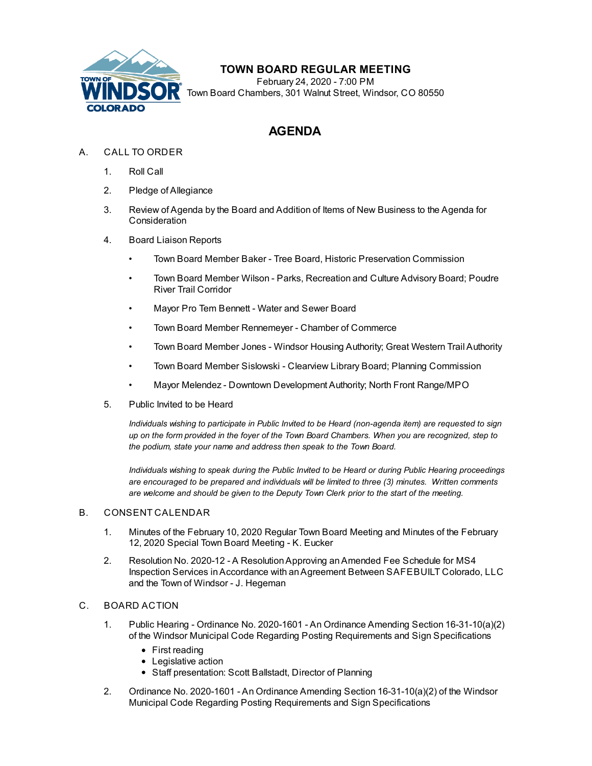

## **TOWN BOARD REGULAR MEETING**

February 24, 2020 - 7:00 PM Town Board Chambers, 301 Walnut Street, Windsor, CO 80550

# **AGENDA**

### A. CALL TO ORDER

- 1. Roll Call
- 2. Pledge of Allegiance
- 3. Review of Agenda by the Board and Addition of Items of New Business to the Agenda for **Consideration**
- 4. Board Liaison Reports
	- Town Board Member Baker Tree Board, Historic Preservation Commission
	- Town Board Member Wilson Parks, Recreation and Culture Advisory Board; Poudre River Trail Corridor
	- Mayor Pro Tem Bennett Water and Sewer Board
	- Town Board Member Rennemeyer Chamber of Commerce
	- Town Board Member Jones Windsor Housing Authority; Great Western Trail Authority
	- Town Board Member Sislowski Clearview Library Board; Planning Commission
	- Mayor Melendez Downtown Development Authority; North Front Range/MPO
- 5. Public Invited to be Heard

*Individuals wishing to participate in Public Invited to be Heard (non-agenda item) are requested to sign* up on the form provided in the foyer of the Town Board Chambers. When you are recognized, step to *the podium, state your name and address then speak to the Town Board.*

*Individuals wishing to speak during the Public Invited to be Heard or during Public Hearing proceedings are encouraged to be prepared and individuals will be limited to three (3) minutes. Written comments are welcome and should be given to the Deputy Town Clerk prior to the start of the meeting.*

#### B. CONSENT CALENDAR

- 1. Minutes of the [February](file:///C:/Windows/TEMP/CoverSheet.aspx?ItemID=749&MeetingID=133) 10, 2020 Regular Town Board Meeting and Minutes of the February 12, 2020 Special Town Board Meeting - K. Eucker
- 2. Resolution No. 2020-12 A [ResolutionApproving](file:///C:/Windows/TEMP/CoverSheet.aspx?ItemID=742&MeetingID=133) anAmended Fee Schedule for MS4 Inspection Services inAccordance with anAgreement Between SAFEBUILT Colorado, LLC and the Town of Windsor - J. Hegeman

#### C. BOARD ACTION

- 1. Public Hearing Ordinance No. 2020-1601 An Ordinance Amending Section [16-31-10\(a\)\(2\)](file:///C:/Windows/TEMP/CoverSheet.aspx?ItemID=752&MeetingID=133) of the Windsor Municipal Code Regarding Posting Requirements and Sign Specifications
	- First reading
	- Legislative action
	- Staff presentation: Scott Ballstadt, Director of Planning
- 2. Ordinance No. 2020-1601 An Ordinance Amending Section [16-31-10\(a\)\(2\)](file:///C:/Windows/TEMP/CoverSheet.aspx?ItemID=740&MeetingID=133) of the Windsor Municipal Code Regarding Posting Requirements and Sign Specifications